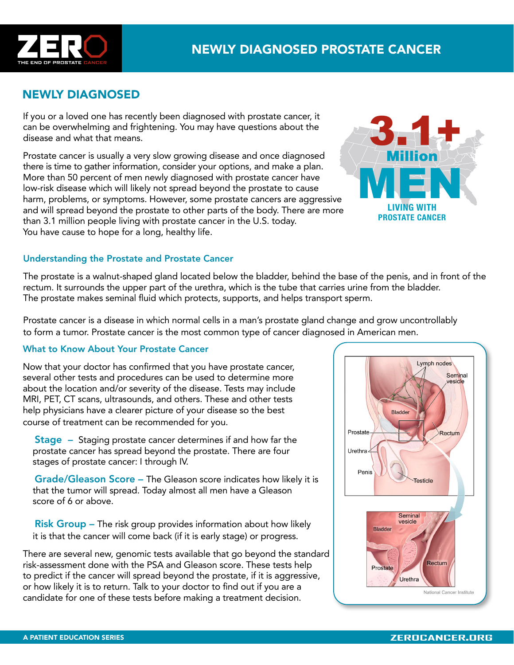

## NEWLY DIAGNOSED

If you or a loved one has recently been diagnosed with prostate cancer, it can be overwhelming and frightening. You may have questions about the disease and what that means.

Prostate cancer is usually a very slow growing disease and once diagnosed there is time to gather information, consider your options, and make a plan. More than 50 percent of men newly diagnosed with prostate cancer have low-risk disease which will likely not spread beyond the prostate to cause harm, problems, or symptoms. However, some prostate cancers are aggressive and will spread beyond the prostate to other parts of the body. There are more than 3.1 million people living with prostate cancer in the U.S. today. You have cause to hope for a long, healthy life.



## Understanding the Prostate and Prostate Cancer

The prostate is a walnut-shaped gland located below the bladder, behind the base of the penis, and in front of the rectum. It surrounds the upper part of the urethra, which is the tube that carries urine from the bladder. The prostate makes seminal fluid which protects, supports, and helps transport sperm.

Prostate cancer is a disease in which normal cells in a man's prostate gland change and grow uncontrollably to form a tumor. Prostate cancer is the most common type of cancer diagnosed in American men.

## What to Know About Your Prostate Cancer

Now that your doctor has confirmed that you have prostate cancer, several other tests and procedures can be used to determine more about the location and/or severity of the disease. Tests may include MRI, PET, CT scans, ultrasounds, and others. These and other tests help physicians have a clearer picture of your disease so the best course of treatment can be recommended for you.

 Stage – Staging prostate cancer determines if and how far the prostate cancer has spread beyond the prostate. There are four stages of prostate cancer: I through IV.

 Grade/Gleason Score – The Gleason score indicates how likely it is that the tumor will spread. Today almost all men have a Gleason score of 6 or above.

 Risk Group – The risk group provides information about how likely it is that the cancer will come back (if it is early stage) or progress.

There are several new, genomic tests available that go beyond the standard risk-assessment done with the PSA and Gleason score. These tests help to predict if the cancer will spread beyond the prostate, if it is aggressive, or how likely it is to return. Talk to your doctor to find out if you are a candidate for one of these tests before making a treatment decision.